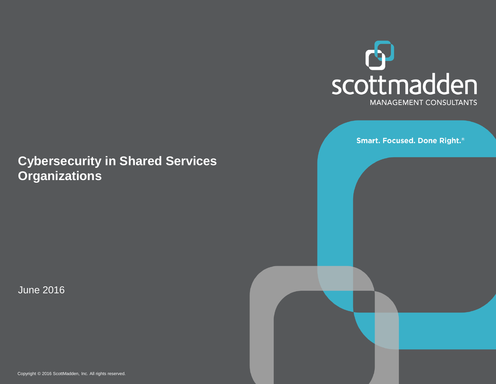

**Smart. Focused. Done Right.**®

### **Cybersecurity in Shared Services Organizations**

June 2016

Copyright © 2016 ScottMadden, Inc. All rights reserved.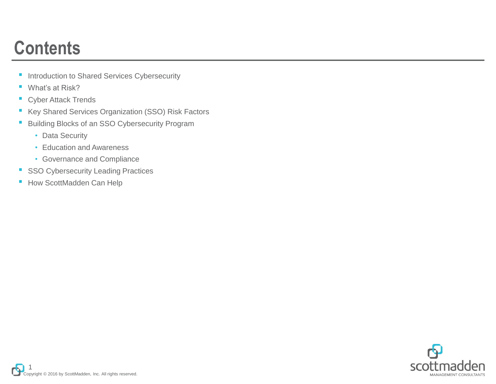### **Contents**

- Introduction to Shared Services Cybersecurity
- What's at Risk?
- Cyber Attack Trends
- Key Shared Services Organization (SSO) Risk Factors
- Building Blocks of an SSO Cybersecurity Program
	- Data Security
	- Education and Awareness
	- Governance and Compliance
- SSO Cybersecurity Leading Practices
- How ScottMadden Can Help

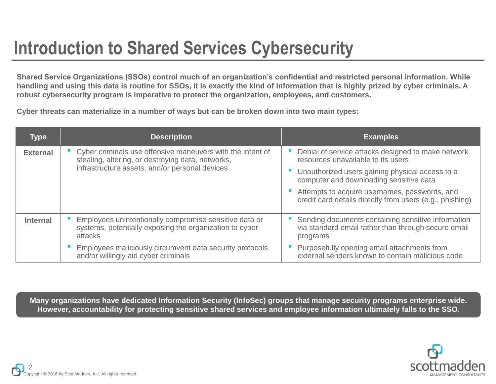### **Introduction to Shared Services Cybersecurity**

**Shared Service Organizations (SSOs) control much of an organization's confidential and restricted personal information. While handling and using this data is routine for SSOs, it is exactly the kind of information that is highly prized by cyber criminals. A robust cybersecurity program is imperative to protect the organization, employees, and customers.**

**Cyber threats can materialize in a number of ways but can be broken down into two main types:**

| <b>Type</b>     | <b>Description</b>                                                                                                           | <b>Examples</b>                                                                                                       |  |
|-----------------|------------------------------------------------------------------------------------------------------------------------------|-----------------------------------------------------------------------------------------------------------------------|--|
| <b>External</b> | Cyber criminals use offensive maneuvers with the intent of<br>stealing, altering, or destroying data, networks,              | Denial of service attacks designed to make network<br>resources unavailable to its users                              |  |
|                 | infrastructure assets, and/or personal devices                                                                               | Unauthorized users gaining physical access to a<br>computer and downloading sensitive data                            |  |
|                 |                                                                                                                              | Attempts to acquire usernames, passwords, and<br>credit card details directly from users (e.g., phishing)             |  |
| <b>Internal</b> | Employees unintentionally compromise sensitive data or<br>systems, potentially exposing the organization to cyber<br>attacks | Sending documents containing sensitive information<br>via standard email rather than through secure email<br>programs |  |
|                 | Employees maliciously circumvent data security protocols<br>and/or willingly aid cyber criminals                             | Purposefully opening email attachments from<br>external senders known to contain malicious code                       |  |

**Many organizations have dedicated Information Security (InfoSec) groups that manage security programs enterprise wide. However, accountability for protecting sensitive shared services and employee information ultimately falls to the SSO.**

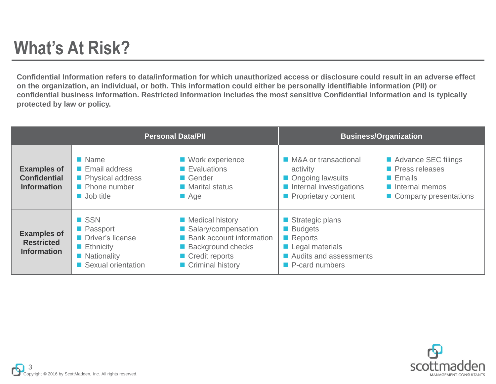### **What's At Risk?**

**Confidential Information refers to data/information for which unauthorized access or disclosure could result in an adverse effect on the organization, an individual, or both. This information could either be personally identifiable information (PII) or confidential business information. Restricted Information includes the most sensitive Confidential Information and is typically protected by law or policy.**

| <b>Personal Data/PII</b>                                        |                                                                                                                        |                                                                                                                                     | <b>Business/Organization</b>                                                                                               |                                                                                                                                   |  |
|-----------------------------------------------------------------|------------------------------------------------------------------------------------------------------------------------|-------------------------------------------------------------------------------------------------------------------------------------|----------------------------------------------------------------------------------------------------------------------------|-----------------------------------------------------------------------------------------------------------------------------------|--|
| <b>Examples of</b><br><b>Confidential</b><br><b>Information</b> | $\blacksquare$ Name<br><b>Email address</b><br>Physical address<br><b>Phone number</b><br>$\blacksquare$ Job title     | ■ Work experience<br>$\blacksquare$ Evaluations<br>Gender<br>$\blacksquare$ Marital status<br>$\blacksquare$ Age                    | ■ M&A or transactional<br>activity<br>Ongoing lawsuits<br>Internal investigations<br>Proprietary content                   | Advance SEC filings<br><b>Press releases</b><br>$\blacksquare$ Emails<br>$\blacksquare$ Internal memos<br>■ Company presentations |  |
| <b>Examples of</b><br><b>Restricted</b><br><b>Information</b>   | <b>SSN</b><br>■ Passport<br><b>Driver's license</b><br>$\blacksquare$ Ethnicity<br>• Nationality<br>Sexual orientation | Medical history<br>■ Salary/compensation<br>■ Bank account information<br>■ Background checks<br>Credit reports<br>Criminal history | Strategic plans<br><b>Budgets</b><br>Reports<br>Legal materials<br>Audits and assessments<br>$\blacksquare$ P-card numbers |                                                                                                                                   |  |

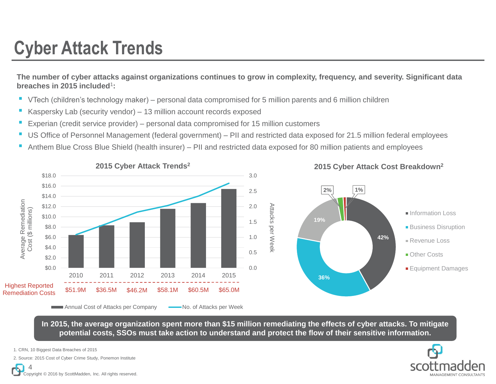### **Cyber Attack Trends**

**The number of cyber attacks against organizations continues to grow in complexity, frequency, and severity. Significant data breaches in 2015 included**<sup>1</sup> **:**

- VTech (children's technology maker) personal data compromised for 5 million parents and 6 million children
- Kaspersky Lab (security vendor) 13 million account records exposed
- Experian (credit service provider) personal data compromised for 15 million customers
- US Office of Personnel Management (federal government) PII and restricted data exposed for 21.5 million federal employees
- Anthem Blue Cross Blue Shield (health insurer) PII and restricted data exposed for 80 million patients and employees



**In 2015, the average organization spent more than \$15 million remediating the effects of cyber attacks. To mitigate potential costs, SSOs must take action to understand and protect the flow of their sensitive information.**

1. CRN, 10 Biggest Data Breaches of 2015





Copyright © 2016 by ScottMadden, Inc. All rights reserved. 4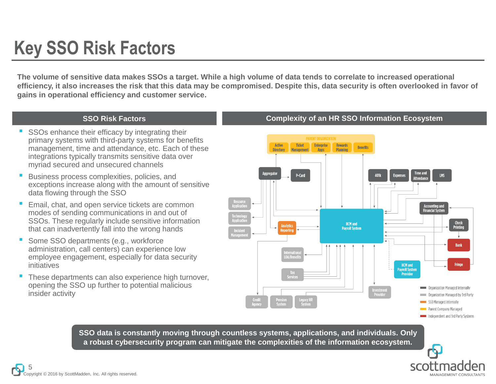### **Key SSO Risk Factors**

**The volume of sensitive data makes SSOs a target. While a high volume of data tends to correlate to increased operational efficiency, it also increases the risk that this data may be compromised. Despite this, data security is often overlooked in favor of gains in operational efficiency and customer service.**

- SSOs enhance their efficacy by integrating their primary systems with third-party systems for benefits management, time and attendance, etc. Each of these integrations typically transmits sensitive data over myriad secured and unsecured channels
- Business process complexities, policies, and exceptions increase along with the amount of sensitive data flowing through the SSO
- Email, chat, and open service tickets are common modes of sending communications in and out of SSOs. These regularly include sensitive information that can inadvertently fall into the wrong hands
- Some SSO departments (e.g., workforce administration, call centers) can experience low employee engagement, especially for data security initiatives
- These departments can also experience high turnover, opening the SSO up further to potential malicious insider activity

#### **SSO Risk Factors Complexity of an HR SSO Information Ecosystem**



**SSO data is constantly moving through countless systems, applications, and individuals. Only a robust cybersecurity program can mitigate the complexities of the information ecosystem.**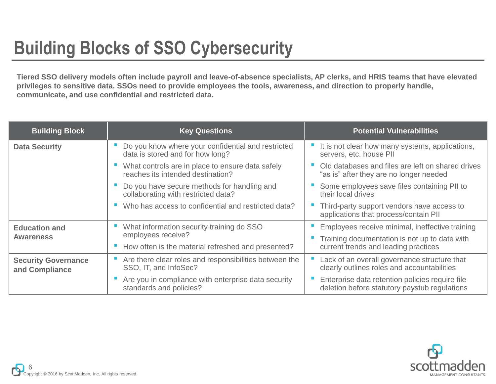### **Building Blocks of SSO Cybersecurity**

**Tiered SSO delivery models often include payroll and leave-of-absence specialists, AP clerks, and HRIS teams that have elevated privileges to sensitive data. SSOs need to provide employees the tools, awareness, and direction to properly handle, communicate, and use confidential and restricted data.**

| <b>Building Block</b>                        | <b>Key Questions</b>                                                                   | <b>Potential Vulnerabilities</b>                                                                 |
|----------------------------------------------|----------------------------------------------------------------------------------------|--------------------------------------------------------------------------------------------------|
| <b>Data Security</b>                         | Do you know where your confidential and restricted<br>data is stored and for how long? | It is not clear how many systems, applications,<br>servers, etc. house PII                       |
|                                              | What controls are in place to ensure data safely<br>reaches its intended destination?  | Old databases and files are left on shared drives<br>"as is" after they are no longer needed     |
|                                              | Do you have secure methods for handling and<br>collaborating with restricted data?     | Some employees save files containing PII to<br>their local drives                                |
|                                              | Who has access to confidential and restricted data?                                    | Third-party support vendors have access to<br>applications that process/contain PII              |
| <b>Education and</b>                         | What information security training do SSO                                              | Employees receive minimal, ineffective training                                                  |
| <b>Awareness</b>                             | employees receive?                                                                     | Training documentation is not up to date with                                                    |
|                                              | How often is the material refreshed and presented?                                     | current trends and leading practices                                                             |
| <b>Security Governance</b><br>and Compliance | Are there clear roles and responsibilities between the<br>SSO, IT, and InfoSec?        | Lack of an overall governance structure that<br>clearly outlines roles and accountabilities      |
|                                              | Are you in compliance with enterprise data security<br>standards and policies?         | Enterprise data retention policies require file<br>deletion before statutory paystub regulations |

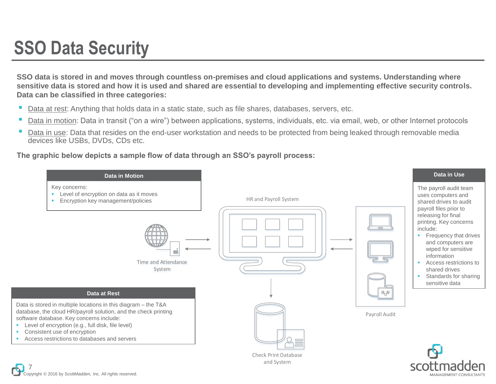### Copyright © 2016 by ScottMadden, Inc. All rights reserved. 7



**SSO data is stored in and moves through countless on-premises and cloud applications and systems. Understanding where sensitive data is stored and how it is used and shared are essential to developing and implementing effective security controls. Data can be classified in three categories:**

- Data at rest: Anything that holds data in a static state, such as file shares, databases, servers, etc.
- Data in motion: Data in transit ("on a wire") between applications, systems, individuals, etc. via email, web, or other Internet protocols
- Data in use: Data that resides on the end-user workstation and needs to be protected from being leaked through removable media devices like USBs, DVDs, CDs etc.

**The graphic below depicts a sample flow of data through an SSO's payroll process:**

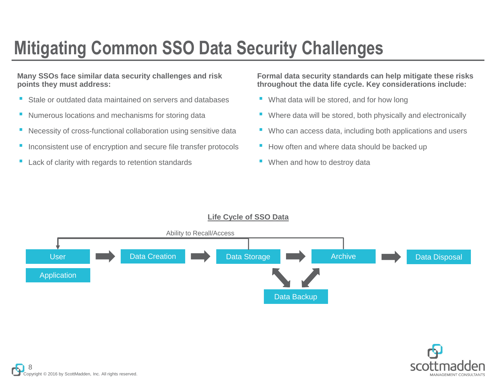# **Mitigating Common SSO Data Security Challenges**

**Many SSOs face similar data security challenges and risk points they must address:**

- Stale or outdated data maintained on servers and databases
- Numerous locations and mechanisms for storing data
- Necessity of cross-functional collaboration using sensitive data
- Inconsistent use of encryption and secure file transfer protocols
- Lack of clarity with regards to retention standards

**Formal data security standards can help mitigate these risks throughout the data life cycle. Key considerations include:**

- What data will be stored, and for how long
- Where data will be stored, both physically and electronically
- Who can access data, including both applications and users
- How often and where data should be backed up
- When and how to destroy data



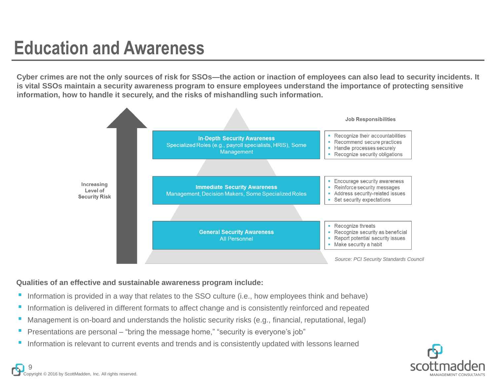### **Education and Awareness**

**Cyber crimes are not the only sources of risk for SSOs—the action or inaction of employees can also lead to security incidents. It is vital SSOs maintain a security awareness program to ensure employees understand the importance of protecting sensitive information, how to handle it securely, and the risks of mishandling such information.**



#### **Qualities of an effective and sustainable awareness program include:**

- Information is provided in a way that relates to the SSO culture (i.e., how employees think and behave)
- Information is delivered in different formats to affect change and is consistently reinforced and repeated
- Management is on-board and understands the holistic security risks (e.g., financial, reputational, legal)
- Presentations are personal "bring the message home," "security is everyone's job"
- Information is relevant to current events and trends and is consistently updated with lessons learned

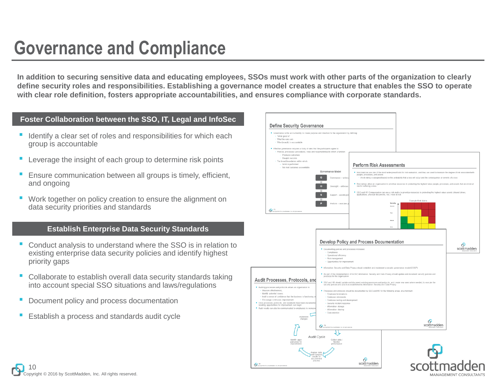### **Governance and Compliance**

**In addition to securing sensitive data and educating employees, SSOs must work with other parts of the organization to clearly define security roles and responsibilities. Establishing a governance model creates a structure that enables the SSO to operate with clear role definition, fosters appropriate accountabilities, and ensures compliance with corporate standards.**

#### **Foster Collaboration between the SSO, IT, Legal and InfoSec**

- Identify a clear set of roles and responsibilities for which each group is accountable
- Leverage the insight of each group to determine risk points
- Ensure communication between all groups is timely, efficient, and ongoing
- Work together on policy creation to ensure the alignment on data security priorities and standards

#### **Establish Enterprise Data Security Standards**

- Conduct analysis to understand where the SSO is in relation to existing enterprise data security policies and identify highest priority gaps
- Collaborate to establish overall data security standards taking into account special SSO situations and laws/regulations
- Document policy and process documentation
- Establish a process and standards audit cycle

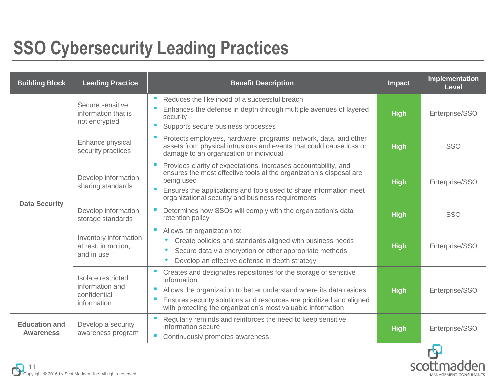## **SSO Cybersecurity Leading Practices**

| <b>Building Block</b>                    | <b>Leading Practice</b>                                              | <b>Benefit Description</b>                                                                                                                                                                                                                                                                                | <b>Impact</b> | Implementation<br><b>Level</b> |
|------------------------------------------|----------------------------------------------------------------------|-----------------------------------------------------------------------------------------------------------------------------------------------------------------------------------------------------------------------------------------------------------------------------------------------------------|---------------|--------------------------------|
|                                          | Secure sensitive<br>information that is<br>not encrypted             | П<br>Reduces the likelihood of a successful breach<br>Enhances the defense in depth through multiple avenues of layered<br>security<br>Supports secure business processes<br>a.                                                                                                                           | <b>High</b>   | Enterprise/SSO                 |
|                                          | Enhance physical<br>security practices                               | Protects employees, hardware, programs, network, data, and other<br>assets from physical intrusions and events that could cause loss or<br>damage to an organization or individual                                                                                                                        | <b>High</b>   | <b>SSO</b>                     |
| <b>Data Security</b>                     | Develop information<br>sharing standards                             | п<br>Provides clarity of expectations, increases accountability, and<br>ensures the most effective tools at the organization's disposal are<br>being used<br>Ensures the applications and tools used to share information meet<br>organizational security and business requirements                       | <b>High</b>   | Enterprise/SSO                 |
|                                          | Develop information<br>storage standards                             | Determines how SSOs will comply with the organization's data<br>retention policy                                                                                                                                                                                                                          | <b>High</b>   | SSO                            |
|                                          | Inventory information<br>at rest, in motion,<br>and in use           | $\mathcal{L}_{\mathcal{A}}$<br>Allows an organization to:<br>Create policies and standards aligned with business needs<br>Secure data via encryption or other appropriate methods<br>Develop an effective defense in depth strategy                                                                       | <b>High</b>   | Enterprise/SSO                 |
|                                          | Isolate restricted<br>information and<br>confidential<br>information | Creates and designates repositories for the storage of sensitive<br>information<br>L<br>Allows the organization to better understand where its data resides<br>Ensures security solutions and resources are prioritized and aligned<br>a.<br>with protecting the organization's most valuable information | <b>High</b>   | Enterprise/SSO                 |
| <b>Education and</b><br><b>Awareness</b> | Develop a security<br>awareness program                              | Regularly reminds and reinforces the need to keep sensitive<br>information secure<br>П<br>Continuously promotes awareness                                                                                                                                                                                 | <b>High</b>   | Enterprise/SSO                 |

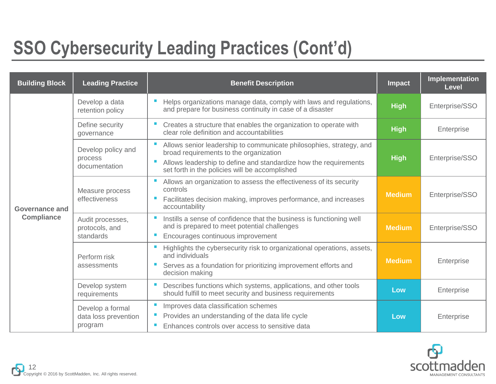## **SSO Cybersecurity Leading Practices (Cont'd)**

| <b>Building Block</b>               | <b>Leading Practice</b>                             | <b>Benefit Description</b>                                                                                                                                                                                                                     | Impact        | Implementation<br><b>Level</b> |
|-------------------------------------|-----------------------------------------------------|------------------------------------------------------------------------------------------------------------------------------------------------------------------------------------------------------------------------------------------------|---------------|--------------------------------|
|                                     | Develop a data<br>retention policy                  | Helps organizations manage data, comply with laws and regulations,<br>and prepare for business continuity in case of a disaster                                                                                                                |               | Enterprise/SSO                 |
|                                     | Define security<br>governance                       | Creates a structure that enables the organization to operate with<br>clear role definition and accountabilities                                                                                                                                | <b>High</b>   | Enterprise                     |
| Governance and<br><b>Compliance</b> | Develop policy and<br>process<br>documentation      | Allows senior leadership to communicate philosophies, strategy, and<br>broad requirements to the organization<br>Allows leadership to define and standardize how the requirements<br>set forth in the policies will be accomplished            | <b>High</b>   | Enterprise/SSO                 |
|                                     | Measure process<br>effectiveness                    | $\mathcal{L}_{\mathcal{A}}$<br>Allows an organization to assess the effectiveness of its security<br>controls<br>Facilitates decision making, improves performance, and increases<br>$\mathcal{L}_{\mathcal{A}}$<br>accountability             | <b>Medium</b> | Enterprise/SSO                 |
|                                     | Audit processes,<br>protocols, and<br>standards     | Instills a sense of confidence that the business is functioning well<br>and is prepared to meet potential challenges<br>Encourages continuous improvement<br>$\mathcal{L}^{\mathcal{L}}$                                                       | <b>Medium</b> | Enterprise/SSO                 |
|                                     | Perform risk<br>assessments                         | $\mathcal{L}_{\mathcal{A}}$<br>Highlights the cybersecurity risk to organizational operations, assets,<br>and individuals<br>Serves as a foundation for prioritizing improvement efforts and<br>$\mathcal{L}_{\mathcal{A}}$<br>decision making | <b>Medium</b> | Enterprise                     |
|                                     | Develop system<br>requirements                      | Describes functions which systems, applications, and other tools<br>$\mathcal{L}_{\mathcal{A}}$<br>should fulfill to meet security and business requirements                                                                                   | Low           | Enterprise                     |
|                                     | Develop a formal<br>data loss prevention<br>program | Improves data classification schemes<br>$\mathcal{L}_{\rm{eff}}$<br>Provides an understanding of the data life cycle<br>Enhances controls over access to sensitive data<br>$\mathcal{L}_{\mathcal{A}}$                                         | Low           | Enterprise                     |

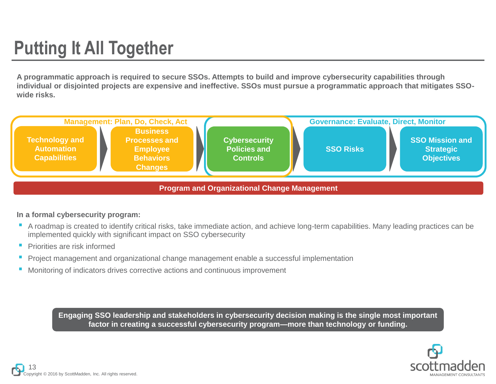## **Putting It All Together**

**A programmatic approach is required to secure SSOs. Attempts to build and improve cybersecurity capabilities through individual or disjointed projects are expensive and ineffective. SSOs must pursue a programmatic approach that mitigates SSOwide risks.**



#### **In a formal cybersecurity program:**

- A roadmap is created to identify critical risks, take immediate action, and achieve long-term capabilities. Many leading practices can be implemented quickly with significant impact on SSO cybersecurity
- **Priorities are risk informed**
- Project management and organizational change management enable a successful implementation
- Monitoring of indicators drives corrective actions and continuous improvement

**Engaging SSO leadership and stakeholders in cybersecurity decision making is the single most important factor in creating a successful cybersecurity program—more than technology or funding.**

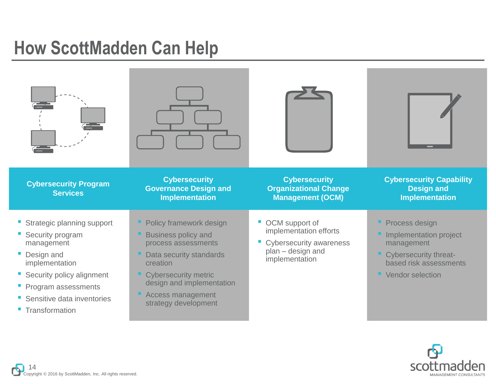### **How ScottMadden Can Help**

| <b>Cybersecurity Program</b><br><b>Services</b>                                                                                                                                                             | <b>Cybersecurity</b><br><b>Governance Design and</b><br><b>Implementation</b>                                                                                                                                                | <b>Cybersecurity</b><br><b>Organizational Change</b><br><b>Management (OCM)</b>                                        | <b>Cybersecurity Capability</b><br><b>Design and</b><br><b>Implementation</b>                                                   |
|-------------------------------------------------------------------------------------------------------------------------------------------------------------------------------------------------------------|------------------------------------------------------------------------------------------------------------------------------------------------------------------------------------------------------------------------------|------------------------------------------------------------------------------------------------------------------------|---------------------------------------------------------------------------------------------------------------------------------|
| <b>Strategic planning support</b><br>Security program<br>management<br>Design and<br>implementation<br>• Security policy alignment<br>• Program assessments<br>Sensitive data inventories<br>Transformation | Policy framework design<br><b>Business policy and</b><br>process assessments<br>Data security standards<br>creation<br><b>Cybersecurity metric</b><br>design and implementation<br>Access management<br>strategy development | OCM support of<br>implementation efforts<br><b>Cybersecurity awareness</b><br>ш<br>plan - design and<br>implementation | Process design<br>Implementation project<br>management<br>Cybersecurity threat-<br>based risk assessments<br>• Vendor selection |